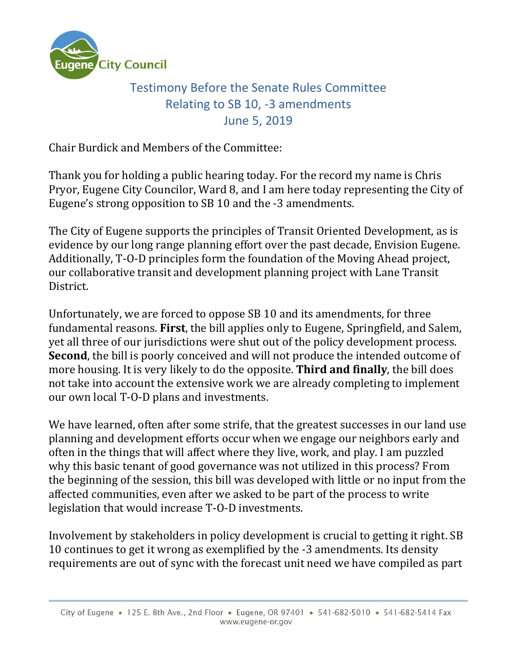

## Testimony Before the Senate Rules Committee Relating to SB 10, -3 amendments June 5, 2019

Chair Burdick and Members of the Committee:

Thank you for holding a public hearing today. For the record my name is Chris Pryor, Eugene City Councilor, Ward 8, and I am here today representing the City of Eugene's strong opposition to SB 10 and the -3 amendments.

The City of Eugene supports the principles of Transit Oriented Development, as is evidence by our long range planning effort over the past decade, Envision Eugene. Additionally, T-O-D principles form the foundation of the Moving Ahead project, our collaborative transit and development planning project with Lane Transit District.

Unfortunately, we are forced to oppose SB 10 and its amendments, for three fundamental reasons. **First**, the bill applies only to Eugene, Springfield, and Salem, yet all three of our jurisdictions were shut out of the policy development process. **Second**, the bill is poorly conceived and will not produce the intended outcome of more housing. It is very likely to do the opposite. **Third and finally**, the bill does not take into account the extensive work we are already completing to implement our own local T-O-D plans and investments.

We have learned, often after some strife, that the greatest successes in our land use planning and development efforts occur when we engage our neighbors early and often in the things that will affect where they live, work, and play. I am puzzled why this basic tenant of good governance was not utilized in this process? From the beginning of the session, this bill was developed with little or no input from the affected communities, even after we asked to be part of the process to write legislation that would increase T-O-D investments.

Involvement by stakeholders in policy development is crucial to getting it right. SB 10 continues to get it wrong as exemplified by the -3 amendments. Its density requirements are out of sync with the forecast unit need we have compiled as part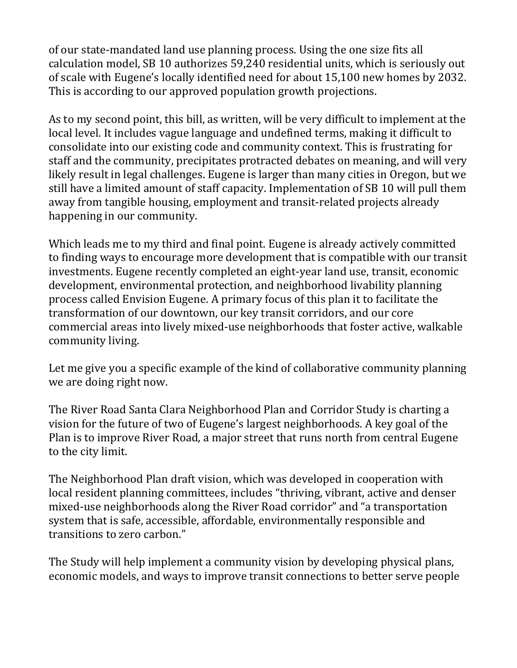of our state-mandated land use planning process. Using the one size fits all calculation model, SB 10 authorizes 59,240 residential units, which is seriously out of scale with Eugene's locally identified need for about 15,100 new homes by 2032. This is according to our approved population growth projections.

As to my second point, this bill, as written, will be very difficult to implement at the local level. It includes vague language and undefined terms, making it difficult to consolidate into our existing code and community context. This is frustrating for staff and the community, precipitates protracted debates on meaning, and will very likely result in legal challenges. Eugene is larger than many cities in Oregon, but we still have a limited amount of staff capacity. Implementation of SB 10 will pull them away from tangible housing, employment and transit-related projects already happening in our community.

Which leads me to my third and final point. Eugene is already actively committed to finding ways to encourage more development that is compatible with our transit investments. Eugene recently completed an eight-year land use, transit, economic development, environmental protection, and neighborhood livability planning process called Envision Eugene. A primary focus of this plan it to facilitate the transformation of our downtown, our key transit corridors, and our core commercial areas into lively mixed-use neighborhoods that foster active, walkable community living.

Let me give you a specific example of the kind of collaborative community planning we are doing right now.

The River Road Santa Clara Neighborhood Plan and Corridor Study is charting a vision for the future of two of Eugene's largest neighborhoods. A key goal of the Plan is to improve River Road, a major street that runs north from central Eugene to the city limit.

The Neighborhood Plan draft vision, which was developed in cooperation with local resident planning committees, includes "thriving, vibrant, active and denser mixed-use neighborhoods along the River Road corridor" and "a transportation system that is safe, accessible, affordable, environmentally responsible and transitions to zero carbon."

The Study will help implement a community vision by developing physical plans, economic models, and ways to improve transit connections to better serve people